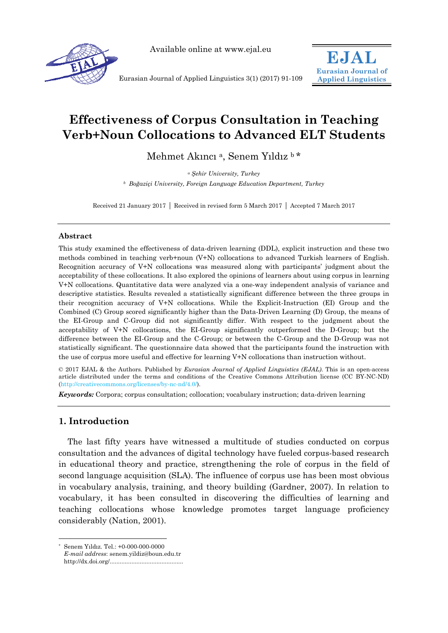

Available online at www.ejal.eu



Eurasian Journal of Applied Linguistics 3(1) (2017) 91-109

# **Effectiveness of Corpus Consultation in Teaching Verb+Noun Collocations to Advanced ELT Students**

Mehmet Akıncı a, Senem Yıldız b \*

*<sup>a</sup> Şehir University, Turkey b Boğaziçi University, Foreign Language Education Department, Turkey* 

Received 21 January 2017 | Received in revised form 5 March 2017 | Accepted 7 March 2017

## **Abstract**

This study examined the effectiveness of data-driven learning (DDL), explicit instruction and these two methods combined in teaching verb+noun (V+N) collocations to advanced Turkish learners of English. Recognition accuracy of V+N collocations was measured along with participants' judgment about the acceptability of these collocations. It also explored the opinions of learners about using corpus in learning V+N collocations. Quantitative data were analyzed via a one-way independent analysis of variance and descriptive statistics. Results revealed a statistically significant difference between the three groups in their recognition accuracy of V+N collocations. While the Explicit-Instruction (EI) Group and the Combined (C) Group scored significantly higher than the Data-Driven Learning (D) Group, the means of the EI-Group and C-Group did not significantly differ. With respect to the judgment about the acceptability of V+N collocations, the EI-Group significantly outperformed the D-Group; but the difference between the EI-Group and the C-Group; or between the C-Group and the D-Group was not statistically significant. The questionnaire data showed that the participants found the instruction with the use of corpus more useful and effective for learning V+N collocations than instruction without.

© 2017 EJAL & the Authors. Published by *Eurasian Journal of Applied Linguistics (EJAL)*. This is an open-access article distributed under the terms and conditions of the Creative Commons Attribution license (CC BY-NC-ND) (http://creativecommons.org/licenses/by-nc-nd/4.0/).

*Keywords:* Corpora; corpus consultation; collocation; vocabulary instruction; data-driven learning

## **1. Introduction**

The last fifty years have witnessed a multitude of studies conducted on corpus consultation and the advances of digital technology have fueled corpus-based research in educational theory and practice, strengthening the role of corpus in the field of second language acquisition (SLA). The influence of corpus use has been most obvious in vocabulary analysis, training, and theory building (Gardner, 2007). In relation to vocabulary, it has been consulted in discovering the difficulties of learning and teaching collocations whose knowledge promotes target language proficiency considerably (Nation, 2001).

 $\overline{a}$ \* Senem Yıldız. Tel.: +0-000-000-0000 *E-mail address*: senem.yildiz@boun.edu.tr http://dx.doi.org/............................................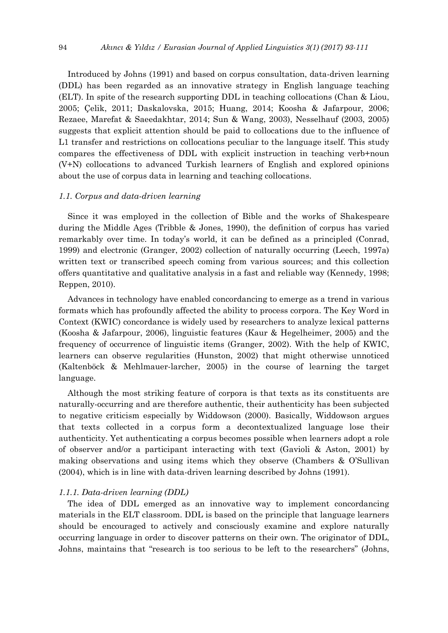Introduced by Johns (1991) and based on corpus consultation, data-driven learning (DDL) has been regarded as an innovative strategy in English language teaching (ELT). In spite of the research supporting DDL in teaching collocations (Chan & Liou, 2005; Çelik, 2011; Daskalovska, 2015; Huang, 2014; Koosha & Jafarpour, 2006; Rezaee, Marefat & Saeedakhtar, 2014; Sun & Wang, 2003), Nesselhauf (2003, 2005) suggests that explicit attention should be paid to collocations due to the influence of L1 transfer and restrictions on collocations peculiar to the language itself. This study compares the effectiveness of DDL with explicit instruction in teaching verb+noun (V+N) collocations to advanced Turkish learners of English and explored opinions about the use of corpus data in learning and teaching collocations.

#### *1.1. Corpus and data-driven learning*

Since it was employed in the collection of Bible and the works of Shakespeare during the Middle Ages (Tribble & Jones, 1990), the definition of corpus has varied remarkably over time. In today's world, it can be defined as a principled (Conrad, 1999) and electronic (Granger, 2002) collection of naturally occurring (Leech, 1997a) written text or transcribed speech coming from various sources; and this collection offers quantitative and qualitative analysis in a fast and reliable way (Kennedy, 1998; Reppen, 2010).

Advances in technology have enabled concordancing to emerge as a trend in various formats which has profoundly affected the ability to process corpora. The Key Word in Context (KWIC) concordance is widely used by researchers to analyze lexical patterns (Koosha & Jafarpour, 2006), linguistic features (Kaur & Hegelheimer, 2005) and the frequency of occurrence of linguistic items (Granger, 2002). With the help of KWIC, learners can observe regularities (Hunston, 2002) that might otherwise unnoticed (Kaltenböck & Mehlmauer-larcher, 2005) in the course of learning the target language.

Although the most striking feature of corpora is that texts as its constituents are naturally-occurring and are therefore authentic, their authenticity has been subjected to negative criticism especially by Widdowson (2000). Basically, Widdowson argues that texts collected in a corpus form a decontextualized language lose their authenticity. Yet authenticating a corpus becomes possible when learners adopt a role of observer and/or a participant interacting with text (Gavioli & Aston, 2001) by making observations and using items which they observe (Chambers & O'Sullivan (2004), which is in line with data-driven learning described by Johns (1991).

#### *1.1.1. Data-driven learning (DDL)*

The idea of DDL emerged as an innovative way to implement concordancing materials in the ELT classroom. DDL is based on the principle that language learners should be encouraged to actively and consciously examine and explore naturally occurring language in order to discover patterns on their own. The originator of DDL, Johns, maintains that "research is too serious to be left to the researchers" (Johns,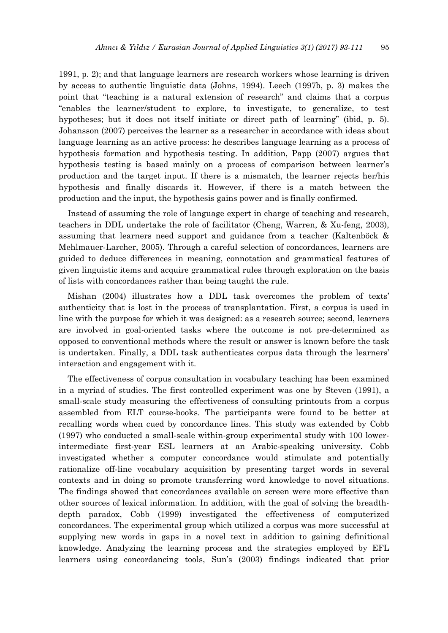1991, p. 2); and that language learners are research workers whose learning is driven by access to authentic linguistic data (Johns, 1994). Leech (1997b, p. 3) makes the point that "teaching is a natural extension of research" and claims that a corpus "enables the learner/student to explore, to investigate, to generalize, to test hypotheses; but it does not itself initiate or direct path of learning" (ibid, p. 5). Johansson (2007) perceives the learner as a researcher in accordance with ideas about language learning as an active process: he describes language learning as a process of hypothesis formation and hypothesis testing. In addition, Papp (2007) argues that hypothesis testing is based mainly on a process of comparison between learner's production and the target input. If there is a mismatch, the learner rejects her/his hypothesis and finally discards it. However, if there is a match between the production and the input, the hypothesis gains power and is finally confirmed.

Instead of assuming the role of language expert in charge of teaching and research, teachers in DDL undertake the role of facilitator (Cheng, Warren, & Xu-feng, 2003), assuming that learners need support and guidance from a teacher (Kaltenböck & Mehlmauer-Larcher, 2005). Through a careful selection of concordances, learners are guided to deduce differences in meaning, connotation and grammatical features of given linguistic items and acquire grammatical rules through exploration on the basis of lists with concordances rather than being taught the rule.

Mishan (2004) illustrates how a DDL task overcomes the problem of texts' authenticity that is lost in the process of transplantation. First, a corpus is used in line with the purpose for which it was designed: as a research source; second, learners are involved in goal-oriented tasks where the outcome is not pre-determined as opposed to conventional methods where the result or answer is known before the task is undertaken. Finally, a DDL task authenticates corpus data through the learners' interaction and engagement with it.

The effectiveness of corpus consultation in vocabulary teaching has been examined in a myriad of studies. The first controlled experiment was one by Steven (1991), a small-scale study measuring the effectiveness of consulting printouts from a corpus assembled from ELT course-books. The participants were found to be better at recalling words when cued by concordance lines. This study was extended by Cobb (1997) who conducted a small-scale within-group experimental study with 100 lowerintermediate first-year ESL learners at an Arabic-speaking university. Cobb investigated whether a computer concordance would stimulate and potentially rationalize off-line vocabulary acquisition by presenting target words in several contexts and in doing so promote transferring word knowledge to novel situations. The findings showed that concordances available on screen were more effective than other sources of lexical information. In addition, with the goal of solving the breadthdepth paradox, Cobb (1999) investigated the effectiveness of computerized concordances. The experimental group which utilized a corpus was more successful at supplying new words in gaps in a novel text in addition to gaining definitional knowledge. Analyzing the learning process and the strategies employed by EFL learners using concordancing tools, Sun's (2003) findings indicated that prior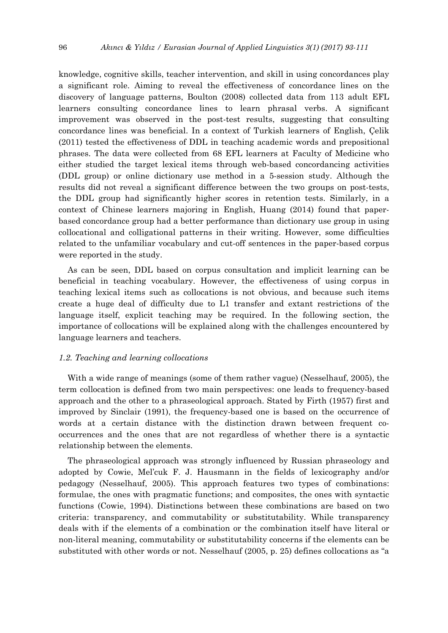knowledge, cognitive skills, teacher intervention, and skill in using concordances play a significant role. Aiming to reveal the effectiveness of concordance lines on the discovery of language patterns, Boulton (2008) collected data from 113 adult EFL learners consulting concordance lines to learn phrasal verbs. A significant improvement was observed in the post-test results, suggesting that consulting concordance lines was beneficial. In a context of Turkish learners of English, Çelik (2011) tested the effectiveness of DDL in teaching academic words and prepositional phrases. The data were collected from 68 EFL learners at Faculty of Medicine who either studied the target lexical items through web-based concordancing activities (DDL group) or online dictionary use method in a 5-session study. Although the results did not reveal a significant difference between the two groups on post-tests, the DDL group had significantly higher scores in retention tests. Similarly, in a context of Chinese learners majoring in English, Huang (2014) found that paperbased concordance group had a better performance than dictionary use group in using collocational and colligational patterns in their writing. However, some difficulties related to the unfamiliar vocabulary and cut-off sentences in the paper-based corpus were reported in the study.

As can be seen, DDL based on corpus consultation and implicit learning can be beneficial in teaching vocabulary. However, the effectiveness of using corpus in teaching lexical items such as collocations is not obvious, and because such items create a huge deal of difficulty due to L1 transfer and extant restrictions of the language itself, explicit teaching may be required. In the following section, the importance of collocations will be explained along with the challenges encountered by language learners and teachers.

## *1.2. Teaching and learning collocations*

With a wide range of meanings (some of them rather vague) (Nesselhauf, 2005), the term collocation is defined from two main perspectives: one leads to frequency-based approach and the other to a phraseological approach. Stated by Firth (1957) first and improved by Sinclair (1991), the frequency-based one is based on the occurrence of words at a certain distance with the distinction drawn between frequent cooccurrences and the ones that are not regardless of whether there is a syntactic relationship between the elements.

The phraseological approach was strongly influenced by Russian phraseology and adopted by Cowie, Mel'cuk F. J. Hausmann in the fields of lexicography and/or pedagogy (Nesselhauf, 2005). This approach features two types of combinations: formulae, the ones with pragmatic functions; and composites, the ones with syntactic functions (Cowie, 1994). Distinctions between these combinations are based on two criteria: transparency, and commutability or substitutability. While transparency deals with if the elements of a combination or the combination itself have literal or non-literal meaning, commutability or substitutability concerns if the elements can be substituted with other words or not. Nesselhauf (2005, p. 25) defines collocations as "a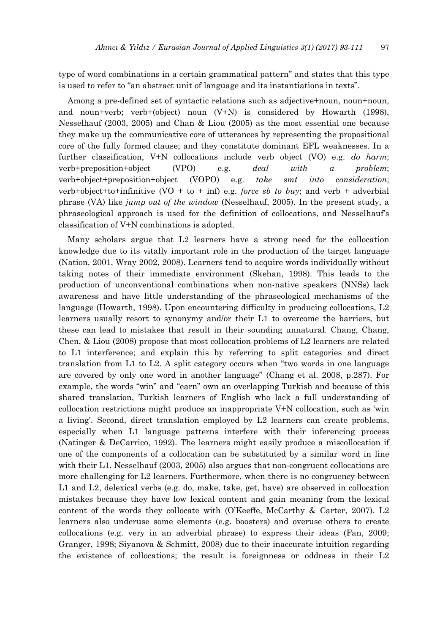type of word combinations in a certain grammatical pattern" and states that this type is used to refer to "an abstract unit of language and its instantiations in texts".

Among a pre-defined set of syntactic relations such as adjective+noun, noun+noun, and noun+verb; verb+(object) noun (V+N) is considered by Howarth (1998), Nesselhauf (2003, 2005) and Chan & Liou (2005) as the most essential one because they make up the communicative core of utterances by representing the propositional core of the fully formed clause; and they constitute dominant EFL weaknesses. In a further classification, V+N collocations include verb object (VO) e.g. *do harm*; verb+preposition+object (VPO) e.g. *deal with a problem*; verb+object+preposition+object (VOPO) e.g. *take smt into consideration*; verb+object+to+infinitive (VO + to + inf) e.g. *force sb to buy*; and verb + adverbial phrase (VA) like *jump out of the window* (Nesselhauf, 2005). In the present study, a phraseological approach is used for the definition of collocations, and Nesselhauf's classification of V+N combinations is adopted.

Many scholars argue that L2 learners have a strong need for the collocation knowledge due to its vitally important role in the production of the target language (Nation, 2001, Wray 2002, 2008). Learners tend to acquire words individually without taking notes of their immediate environment (Skehan, 1998). This leads to the production of unconventional combinations when non-native speakers (NNSs) lack awareness and have little understanding of the phraseological mechanisms of the language (Howarth, 1998). Upon encountering difficulty in producing collocations, L2 learners usually resort to synonymy and/or their L1 to overcome the barriers, but these can lead to mistakes that result in their sounding unnatural. Chang, Chang, Chen, & Liou (2008) propose that most collocation problems of L2 learners are related to L1 interference; and explain this by referring to split categories and direct translation from L1 to L2. A split category occurs when "two words in one language are covered by only one word in another language" (Chang et al. 2008, p.287). For example, the words "win" and "earn" own an overlapping Turkish and because of this shared translation, Turkish learners of English who lack a full understanding of collocation restrictions might produce an inappropriate V+N collocation, such as 'win a living'. Second, direct translation employed by L2 learners can create problems, especially when L1 language patterns interfere with their inferencing process (Natinger & DeCarrico, 1992). The learners might easily produce a miscollocation if one of the components of a collocation can be substituted by a similar word in line with their L1. Nesselhauf (2003, 2005) also argues that non-congruent collocations are more challenging for L2 learners. Furthermore, when there is no congruency between L1 and L2, delexical verbs (e.g. do, make, take, get, have) are observed in collocation mistakes because they have low lexical content and gain meaning from the lexical content of the words they collocate with (O'Keeffe, McCarthy & Carter, 2007). L2 learners also underuse some elements (e.g. boosters) and overuse others to create collocations (e.g. very in an adverbial phrase) to express their ideas (Fan, 2009; Granger, 1998; Siyanova & Schmitt, 2008) due to their inaccurate intuition regarding the existence of collocations; the result is foreignness or oddness in their L2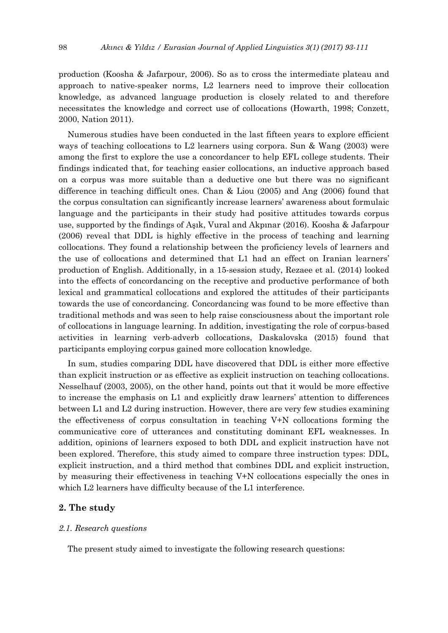production (Koosha & Jafarpour, 2006). So as to cross the intermediate plateau and approach to native-speaker norms, L2 learners need to improve their collocation knowledge, as advanced language production is closely related to and therefore necessitates the knowledge and correct use of collocations (Howarth, 1998; Conzett, 2000, Nation 2011).

Numerous studies have been conducted in the last fifteen years to explore efficient ways of teaching collocations to L2 learners using corpora. Sun & Wang (2003) were among the first to explore the use a concordancer to help EFL college students. Their findings indicated that, for teaching easier collocations, an inductive approach based on a corpus was more suitable than a deductive one but there was no significant difference in teaching difficult ones. Chan & Liou (2005) and Ang (2006) found that the corpus consultation can significantly increase learners' awareness about formulaic language and the participants in their study had positive attitudes towards corpus use, supported by the findings of Aşık, Vural and Akpınar (2016). Koosha & Jafarpour (2006) reveal that DDL is highly effective in the process of teaching and learning collocations. They found a relationship between the proficiency levels of learners and the use of collocations and determined that L1 had an effect on Iranian learners' production of English. Additionally, in a 15-session study, Rezaee et al. (2014) looked into the effects of concordancing on the receptive and productive performance of both lexical and grammatical collocations and explored the attitudes of their participants towards the use of concordancing. Concordancing was found to be more effective than traditional methods and was seen to help raise consciousness about the important role of collocations in language learning. In addition, investigating the role of corpus-based activities in learning verb-adverb collocations, Daskalovska (2015) found that participants employing corpus gained more collocation knowledge.

In sum, studies comparing DDL have discovered that DDL is either more effective than explicit instruction or as effective as explicit instruction on teaching collocations. Nesselhauf (2003, 2005), on the other hand, points out that it would be more effective to increase the emphasis on L1 and explicitly draw learners' attention to differences between L1 and L2 during instruction. However, there are very few studies examining the effectiveness of corpus consultation in teaching V+N collocations forming the communicative core of utterances and constituting dominant EFL weaknesses. In addition, opinions of learners exposed to both DDL and explicit instruction have not been explored. Therefore, this study aimed to compare three instruction types: DDL, explicit instruction, and a third method that combines DDL and explicit instruction, by measuring their effectiveness in teaching V+N collocations especially the ones in which L2 learners have difficulty because of the L1 interference.

## **2. The study**

#### *2.1. Research questions*

The present study aimed to investigate the following research questions: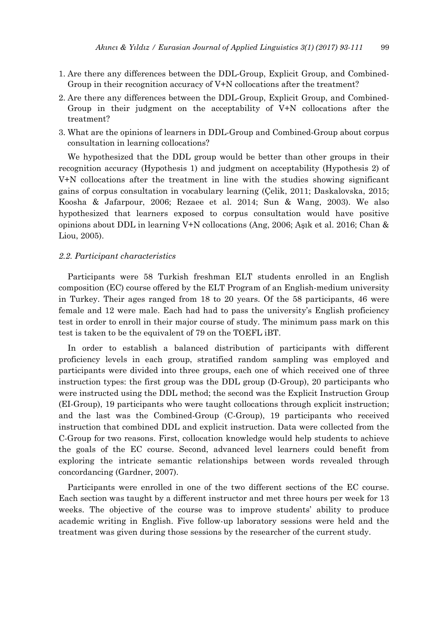- 1. Are there any differences between the DDL-Group, Explicit Group, and Combined-Group in their recognition accuracy of V+N collocations after the treatment?
- 2. Are there any differences between the DDL-Group, Explicit Group, and Combined-Group in their judgment on the acceptability of V+N collocations after the treatment?
- 3. What are the opinions of learners in DDL-Group and Combined-Group about corpus consultation in learning collocations?

We hypothesized that the DDL group would be better than other groups in their recognition accuracy (Hypothesis 1) and judgment on acceptability (Hypothesis 2) of V+N collocations after the treatment in line with the studies showing significant gains of corpus consultation in vocabulary learning (Çelik, 2011; Daskalovska, 2015; Koosha & Jafarpour, 2006; Rezaee et al. 2014; Sun & Wang, 2003). We also hypothesized that learners exposed to corpus consultation would have positive opinions about DDL in learning V+N collocations (Ang, 2006; Aşık et al. 2016; Chan & Liou, 2005).

#### *2.2. Participant characteristics*

Participants were 58 Turkish freshman ELT students enrolled in an English composition (EC) course offered by the ELT Program of an English-medium university in Turkey. Their ages ranged from 18 to 20 years. Of the 58 participants, 46 were female and 12 were male. Each had had to pass the university's English proficiency test in order to enroll in their major course of study. The minimum pass mark on this test is taken to be the equivalent of 79 on the TOEFL iBT.

In order to establish a balanced distribution of participants with different proficiency levels in each group, stratified random sampling was employed and participants were divided into three groups, each one of which received one of three instruction types: the first group was the DDL group (D-Group), 20 participants who were instructed using the DDL method; the second was the Explicit Instruction Group (EI-Group), 19 participants who were taught collocations through explicit instruction; and the last was the Combined-Group (C-Group), 19 participants who received instruction that combined DDL and explicit instruction. Data were collected from the C-Group for two reasons. First, collocation knowledge would help students to achieve the goals of the EC course. Second, advanced level learners could benefit from exploring the intricate semantic relationships between words revealed through concordancing (Gardner, 2007).

Participants were enrolled in one of the two different sections of the EC course. Each section was taught by a different instructor and met three hours per week for 13 weeks. The objective of the course was to improve students' ability to produce academic writing in English. Five follow-up laboratory sessions were held and the treatment was given during those sessions by the researcher of the current study.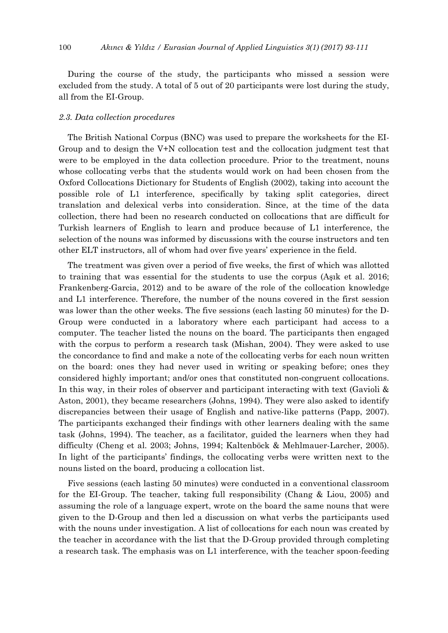During the course of the study, the participants who missed a session were excluded from the study. A total of 5 out of 20 participants were lost during the study, all from the EI-Group.

#### *2.3. Data collection procedures*

The British National Corpus (BNC) was used to prepare the worksheets for the EI-Group and to design the V+N collocation test and the collocation judgment test that were to be employed in the data collection procedure. Prior to the treatment, nouns whose collocating verbs that the students would work on had been chosen from the Oxford Collocations Dictionary for Students of English (2002), taking into account the possible role of L1 interference, specifically by taking split categories, direct translation and delexical verbs into consideration. Since, at the time of the data collection, there had been no research conducted on collocations that are difficult for Turkish learners of English to learn and produce because of L1 interference, the selection of the nouns was informed by discussions with the course instructors and ten other ELT instructors, all of whom had over five years' experience in the field.

The treatment was given over a period of five weeks, the first of which was allotted to training that was essential for the students to use the corpus (Aşık et al. 2016; Frankenberg-Garcia, 2012) and to be aware of the role of the collocation knowledge and L1 interference. Therefore, the number of the nouns covered in the first session was lower than the other weeks. The five sessions (each lasting 50 minutes) for the D-Group were conducted in a laboratory where each participant had access to a computer. The teacher listed the nouns on the board. The participants then engaged with the corpus to perform a research task (Mishan, 2004). They were asked to use the concordance to find and make a note of the collocating verbs for each noun written on the board: ones they had never used in writing or speaking before; ones they considered highly important; and/or ones that constituted non-congruent collocations. In this way, in their roles of observer and participant interacting with text (Gavioli & Aston, 2001), they became researchers (Johns, 1994). They were also asked to identify discrepancies between their usage of English and native-like patterns (Papp, 2007). The participants exchanged their findings with other learners dealing with the same task (Johns, 1994). The teacher, as a facilitator, guided the learners when they had difficulty (Cheng et al. 2003; Johns, 1994; Kaltenböck & Mehlmauer-Larcher, 2005). In light of the participants' findings, the collocating verbs were written next to the nouns listed on the board, producing a collocation list.

Five sessions (each lasting 50 minutes) were conducted in a conventional classroom for the EI-Group. The teacher, taking full responsibility (Chang & Liou, 2005) and assuming the role of a language expert, wrote on the board the same nouns that were given to the D-Group and then led a discussion on what verbs the participants used with the nouns under investigation. A list of collocations for each noun was created by the teacher in accordance with the list that the D-Group provided through completing a research task. The emphasis was on L1 interference, with the teacher spoon-feeding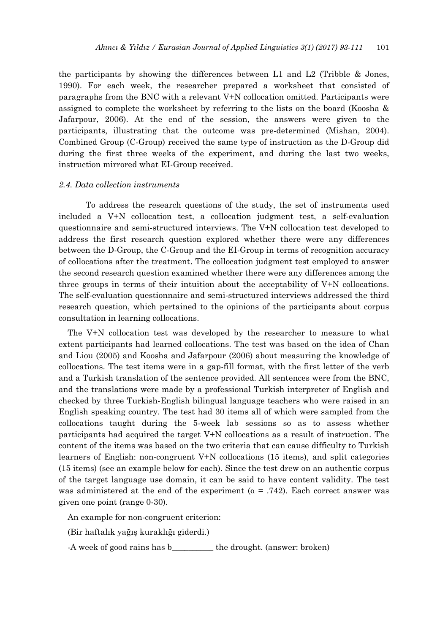the participants by showing the differences between L1 and L2 (Tribble & Jones, 1990). For each week, the researcher prepared a worksheet that consisted of paragraphs from the BNC with a relevant V+N collocation omitted. Participants were assigned to complete the worksheet by referring to the lists on the board (Koosha & Jafarpour, 2006). At the end of the session, the answers were given to the participants, illustrating that the outcome was pre-determined (Mishan, 2004). Combined Group (C-Group) received the same type of instruction as the D-Group did during the first three weeks of the experiment, and during the last two weeks, instruction mirrored what EI-Group received.

#### *2.4. Data collection instruments*

 To address the research questions of the study, the set of instruments used included a V+N collocation test, a collocation judgment test, a self-evaluation questionnaire and semi-structured interviews. The V+N collocation test developed to address the first research question explored whether there were any differences between the D-Group, the C-Group and the EI-Group in terms of recognition accuracy of collocations after the treatment. The collocation judgment test employed to answer the second research question examined whether there were any differences among the three groups in terms of their intuition about the acceptability of V+N collocations. The self-evaluation questionnaire and semi-structured interviews addressed the third research question, which pertained to the opinions of the participants about corpus consultation in learning collocations.

The V+N collocation test was developed by the researcher to measure to what extent participants had learned collocations. The test was based on the idea of Chan and Liou (2005) and Koosha and Jafarpour (2006) about measuring the knowledge of collocations. The test items were in a gap-fill format, with the first letter of the verb and a Turkish translation of the sentence provided. All sentences were from the BNC, and the translations were made by a professional Turkish interpreter of English and checked by three Turkish-English bilingual language teachers who were raised in an English speaking country. The test had 30 items all of which were sampled from the collocations taught during the 5-week lab sessions so as to assess whether participants had acquired the target V+N collocations as a result of instruction. The content of the items was based on the two criteria that can cause difficulty to Turkish learners of English: non-congruent V+N collocations (15 items), and split categories (15 items) (see an example below for each). Since the test drew on an authentic corpus of the target language use domain, it can be said to have content validity. The test was administered at the end of the experiment ( $\alpha$  = .742). Each correct answer was given one point (range 0-30).

An example for non-congruent criterion:

(Bir haftalık yağış kuraklığı giderdi.)

-A week of good rains has b the drought. (answer: broken)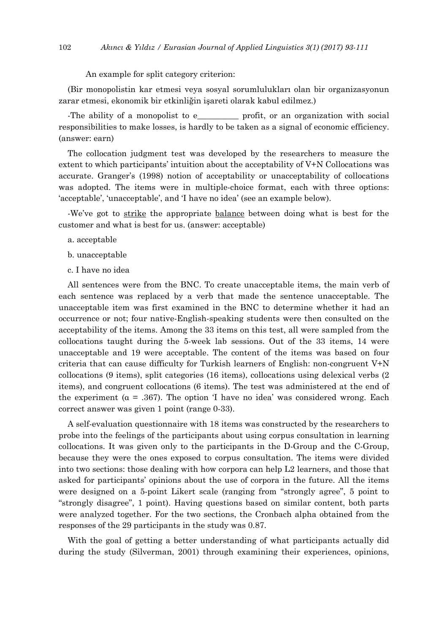An example for split category criterion:

(Bir monopolistin kar etmesi veya sosyal sorumlulukları olan bir organizasyonun zarar etmesi, ekonomik bir etkinliğin işareti olarak kabul edilmez.)

-The ability of a monopolist to e <u>profit</u>, or an organization with social responsibilities to make losses, is hardly to be taken as a signal of economic efficiency. (answer: earn)

The collocation judgment test was developed by the researchers to measure the extent to which participants' intuition about the acceptability of V+N Collocations was accurate. Granger's (1998) notion of acceptability or unacceptability of collocations was adopted. The items were in multiple-choice format, each with three options: 'acceptable', 'unacceptable', and 'I have no idea' (see an example below).

-We've got to strike the appropriate balance between doing what is best for the customer and what is best for us. (answer: acceptable)

- a. acceptable
- b. unacceptable
- c. I have no idea

All sentences were from the BNC. To create unacceptable items, the main verb of each sentence was replaced by a verb that made the sentence unacceptable. The unacceptable item was first examined in the BNC to determine whether it had an occurrence or not; four native-English-speaking students were then consulted on the acceptability of the items. Among the 33 items on this test, all were sampled from the collocations taught during the 5-week lab sessions. Out of the 33 items, 14 were unacceptable and 19 were acceptable. The content of the items was based on four criteria that can cause difficulty for Turkish learners of English: non-congruent V+N collocations (9 items), split categories (16 items), collocations using delexical verbs (2 items), and congruent collocations (6 items). The test was administered at the end of the experiment ( $\alpha = .367$ ). The option 'I have no idea' was considered wrong. Each correct answer was given 1 point (range 0-33).

A self-evaluation questionnaire with 18 items was constructed by the researchers to probe into the feelings of the participants about using corpus consultation in learning collocations. It was given only to the participants in the D-Group and the C-Group, because they were the ones exposed to corpus consultation. The items were divided into two sections: those dealing with how corpora can help L2 learners, and those that asked for participants' opinions about the use of corpora in the future. All the items were designed on a 5-point Likert scale (ranging from "strongly agree", 5 point to "strongly disagree", 1 point). Having questions based on similar content, both parts were analyzed together. For the two sections, the Cronbach alpha obtained from the responses of the 29 participants in the study was 0.87.

With the goal of getting a better understanding of what participants actually did during the study (Silverman, 2001) through examining their experiences, opinions,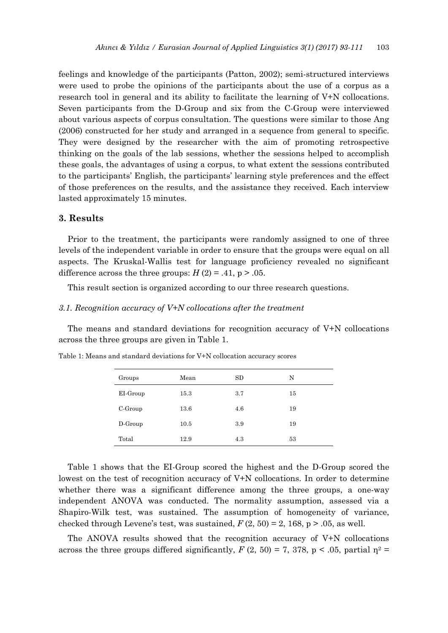feelings and knowledge of the participants (Patton, 2002); semi-structured interviews were used to probe the opinions of the participants about the use of a corpus as a research tool in general and its ability to facilitate the learning of V+N collocations. Seven participants from the D-Group and six from the C-Group were interviewed about various aspects of corpus consultation. The questions were similar to those Ang (2006) constructed for her study and arranged in a sequence from general to specific. They were designed by the researcher with the aim of promoting retrospective thinking on the goals of the lab sessions, whether the sessions helped to accomplish these goals, the advantages of using a corpus, to what extent the sessions contributed to the participants' English, the participants' learning style preferences and the effect of those preferences on the results, and the assistance they received. Each interview lasted approximately 15 minutes.

## **3. Results**

Prior to the treatment, the participants were randomly assigned to one of three levels of the independent variable in order to ensure that the groups were equal on all aspects. The Kruskal-Wallis test for language proficiency revealed no significant difference across the three groups:  $H(2) = .41$ , p  $> .05$ .

This result section is organized according to our three research questions.

## *3.1. Recognition accuracy of V+N collocations after the treatment*

The means and standard deviations for recognition accuracy of V+N collocations across the three groups are given in Table 1.

| Groups     | Mean | SD  | N  |
|------------|------|-----|----|
| EI-Group   | 15.3 | 3.7 | 15 |
| $C$ -Group | 13.6 | 4.6 | 19 |
| $D$ -Group | 10.5 | 3.9 | 19 |
| Total      | 12.9 | 4.3 | 53 |

Table 1: Means and standard deviations for V+N collocation accuracy scores

Table 1 shows that the EI-Group scored the highest and the D-Group scored the lowest on the test of recognition accuracy of V+N collocations. In order to determine whether there was a significant difference among the three groups, a one-way independent ANOVA was conducted. The normality assumption, assessed via a Shapiro-Wilk test, was sustained. The assumption of homogeneity of variance, checked through Levene's test, was sustained,  $F(2, 50) = 2, 168$ , p  $> .05$ , as well.

The ANOVA results showed that the recognition accuracy of V+N collocations across the three groups differed significantly,  $F(2, 50) = 7, 378, p < .05$ , partial  $\eta^2 =$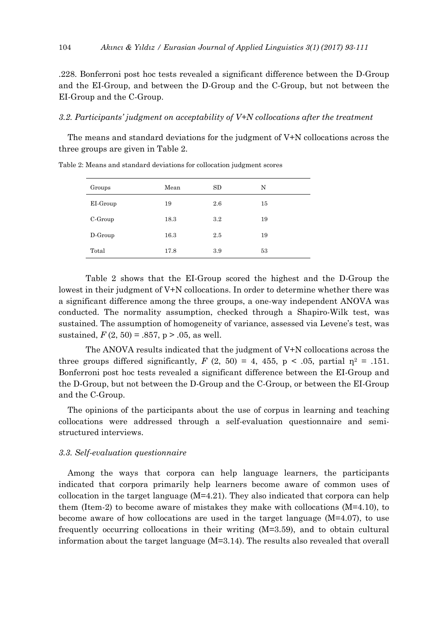.228. Bonferroni post hoc tests revealed a significant difference between the D-Group and the EI-Group, and between the D-Group and the C-Group, but not between the EI-Group and the C-Group.

#### *3.2. Participants' judgment on acceptability of V+N collocations after the treatment*

The means and standard deviations for the judgment of V+N collocations across the three groups are given in Table 2.

| Groups     | Mean | SD  | N  |
|------------|------|-----|----|
| EI-Group   | 19   | 2.6 | 15 |
| $C$ -Group | 18.3 | 3.2 | 19 |
| D-Group    | 16.3 | 2.5 | 19 |
| Total      | 17.8 | 3.9 | 53 |

Table 2: Means and standard deviations for collocation judgment scores

 Table 2 shows that the EI-Group scored the highest and the D-Group the lowest in their judgment of V+N collocations. In order to determine whether there was a significant difference among the three groups, a one-way independent ANOVA was conducted. The normality assumption, checked through a Shapiro-Wilk test, was sustained. The assumption of homogeneity of variance, assessed via Levene's test, was sustained,  $F(2, 50) = .857$ ,  $p > .05$ , as well.

 The ANOVA results indicated that the judgment of V+N collocations across the three groups differed significantly,  $F(2, 50) = 4, 455, p < .05$ , partial  $\eta^2 = .151$ . Bonferroni post hoc tests revealed a significant difference between the EI-Group and the D-Group, but not between the D-Group and the C-Group, or between the EI-Group and the C-Group.

The opinions of the participants about the use of corpus in learning and teaching collocations were addressed through a self-evaluation questionnaire and semistructured interviews.

## *3.3. Self-evaluation questionnaire*

Among the ways that corpora can help language learners, the participants indicated that corpora primarily help learners become aware of common uses of collocation in the target language  $(M=4.21)$ . They also indicated that corpora can help them (Item-2) to become aware of mistakes they make with collocations (M=4.10), to become aware of how collocations are used in the target language (M=4.07), to use frequently occurring collocations in their writing (M=3.59), and to obtain cultural information about the target language (M=3.14). The results also revealed that overall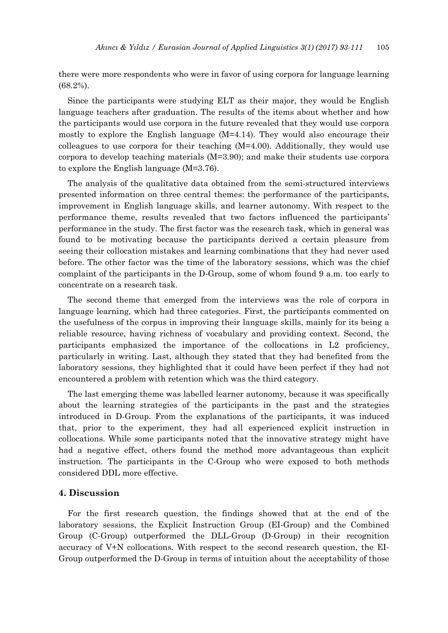there were more respondents who were in favor of using corpora for language learning (68.2%).

Since the participants were studying ELT as their major, they would be English language teachers after graduation. The results of the items about whether and how the participants would use corpora in the future revealed that they would use corpora mostly to explore the English language  $(M=4.14)$ . They would also encourage their colleagues to use corpora for their teaching (M=4.00). Additionally, they would use corpora to develop teaching materials (M=3.90); and make their students use corpora to explore the English language (M=3.76).

The analysis of the qualitative data obtained from the semi-structured interviews presented information on three central themes: the performance of the participants, improvement in English language skills, and learner autonomy. With respect to the performance theme, results revealed that two factors influenced the participants' performance in the study. The first factor was the research task, which in general was found to be motivating because the participants derived a certain pleasure from seeing their collocation mistakes and learning combinations that they had never used before. The other factor was the time of the laboratory sessions, which was the chief complaint of the participants in the D-Group, some of whom found 9 a.m. too early to concentrate on a research task.

The second theme that emerged from the interviews was the role of corpora in language learning, which had three categories. First, the participants commented on the usefulness of the corpus in improving their language skills, mainly for its being a reliable resource, having richness of vocabulary and providing context. Second, the participants emphasized the importance of the collocations in L2 proficiency, particularly in writing. Last, although they stated that they had benefited from the laboratory sessions, they highlighted that it could have been perfect if they had not encountered a problem with retention which was the third category.

The last emerging theme was labelled learner autonomy, because it was specifically about the learning strategies of the participants in the past and the strategies introduced in D-Group. From the explanations of the participants, it was induced that, prior to the experiment, they had all experienced explicit instruction in collocations. While some participants noted that the innovative strategy might have had a negative effect, others found the method more advantageous than explicit instruction. The participants in the C-Group who were exposed to both methods considered DDL more effective.

## **4. Discussion**

For the first research question, the findings showed that at the end of the laboratory sessions, the Explicit Instruction Group (EI-Group) and the Combined Group (C-Group) outperformed the DLL-Group (D-Group) in their recognition accuracy of V+N collocations. With respect to the second research question, the EI-Group outperformed the D-Group in terms of intuition about the acceptability of those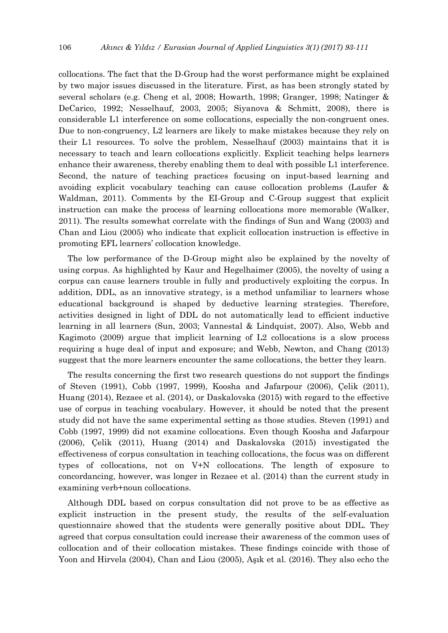collocations. The fact that the D-Group had the worst performance might be explained by two major issues discussed in the literature. First, as has been strongly stated by several scholars (e.g. Cheng et al, 2008; Howarth, 1998; Granger, 1998; Natinger & DeCarico, 1992; Nesselhauf, 2003, 2005; Siyanova & Schmitt, 2008), there is considerable L1 interference on some collocations, especially the non-congruent ones. Due to non-congruency, L2 learners are likely to make mistakes because they rely on their L1 resources. To solve the problem, Nesselhauf (2003) maintains that it is necessary to teach and learn collocations explicitly. Explicit teaching helps learners enhance their awareness, thereby enabling them to deal with possible L1 interference. Second, the nature of teaching practices focusing on input-based learning and avoiding explicit vocabulary teaching can cause collocation problems (Laufer & Waldman, 2011). Comments by the EI-Group and C-Group suggest that explicit instruction can make the process of learning collocations more memorable (Walker, 2011). The results somewhat correlate with the findings of Sun and Wang (2003) and Chan and Liou (2005) who indicate that explicit collocation instruction is effective in promoting EFL learners' collocation knowledge.

The low performance of the D-Group might also be explained by the novelty of using corpus. As highlighted by Kaur and Hegelhaimer (2005), the novelty of using a corpus can cause learners trouble in fully and productively exploiting the corpus. In addition, DDL, as an innovative strategy, is a method unfamiliar to learners whose educational background is shaped by deductive learning strategies. Therefore, activities designed in light of DDL do not automatically lead to efficient inductive learning in all learners (Sun, 2003; Vannestal & Lindquist, 2007). Also, Webb and Kagimoto (2009) argue that implicit learning of L2 collocations is a slow process requiring a huge deal of input and exposure; and Webb, Newton, and Chang (2013) suggest that the more learners encounter the same collocations, the better they learn.

The results concerning the first two research questions do not support the findings of Steven (1991), Cobb (1997, 1999), Koosha and Jafarpour (2006), Çelik (2011), Huang (2014), Rezaee et al. (2014), or Daskalovska (2015) with regard to the effective use of corpus in teaching vocabulary. However, it should be noted that the present study did not have the same experimental setting as those studies. Steven (1991) and Cobb (1997, 1999) did not examine collocations. Even though Koosha and Jafarpour (2006), Çelik (2011), Huang (2014) and Daskalovska (2015) investigated the effectiveness of corpus consultation in teaching collocations, the focus was on different types of collocations, not on V+N collocations. The length of exposure to concordancing, however, was longer in Rezaee et al. (2014) than the current study in examining verb+noun collocations.

Although DDL based on corpus consultation did not prove to be as effective as explicit instruction in the present study, the results of the self-evaluation questionnaire showed that the students were generally positive about DDL. They agreed that corpus consultation could increase their awareness of the common uses of collocation and of their collocation mistakes. These findings coincide with those of Yoon and Hirvela (2004), Chan and Liou (2005), Aşık et al. (2016). They also echo the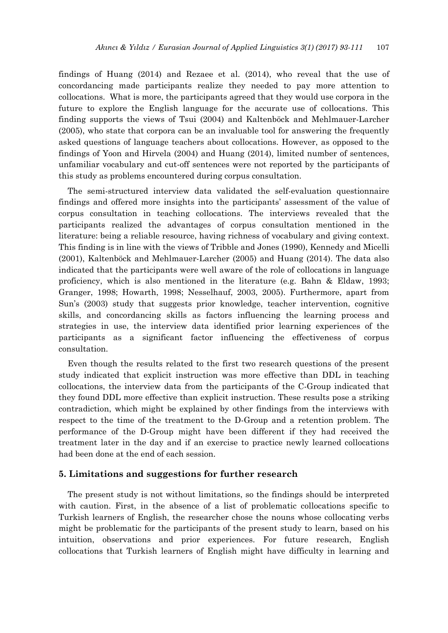findings of Huang (2014) and Rezaee et al. (2014), who reveal that the use of concordancing made participants realize they needed to pay more attention to collocations. What is more, the participants agreed that they would use corpora in the future to explore the English language for the accurate use of collocations. This finding supports the views of Tsui (2004) and Kaltenböck and Mehlmauer-Larcher (2005), who state that corpora can be an invaluable tool for answering the frequently asked questions of language teachers about collocations. However, as opposed to the findings of Yoon and Hirvela (2004) and Huang (2014), limited number of sentences, unfamiliar vocabulary and cut-off sentences were not reported by the participants of this study as problems encountered during corpus consultation.

The semi-structured interview data validated the self-evaluation questionnaire findings and offered more insights into the participants' assessment of the value of corpus consultation in teaching collocations. The interviews revealed that the participants realized the advantages of corpus consultation mentioned in the literature: being a reliable resource, having richness of vocabulary and giving context. This finding is in line with the views of Tribble and Jones (1990), Kennedy and Micelli (2001), Kaltenböck and Mehlmauer-Larcher (2005) and Huang (2014). The data also indicated that the participants were well aware of the role of collocations in language proficiency, which is also mentioned in the literature (e.g. Bahn & Eldaw, 1993; Granger, 1998; Howarth, 1998; Nesselhauf, 2003, 2005). Furthermore, apart from Sun's (2003) study that suggests prior knowledge, teacher intervention, cognitive skills, and concordancing skills as factors influencing the learning process and strategies in use, the interview data identified prior learning experiences of the participants as a significant factor influencing the effectiveness of corpus consultation.

Even though the results related to the first two research questions of the present study indicated that explicit instruction was more effective than DDL in teaching collocations, the interview data from the participants of the C-Group indicated that they found DDL more effective than explicit instruction. These results pose a striking contradiction, which might be explained by other findings from the interviews with respect to the time of the treatment to the D-Group and a retention problem. The performance of the D-Group might have been different if they had received the treatment later in the day and if an exercise to practice newly learned collocations had been done at the end of each session.

## **5. Limitations and suggestions for further research**

The present study is not without limitations, so the findings should be interpreted with caution. First, in the absence of a list of problematic collocations specific to Turkish learners of English, the researcher chose the nouns whose collocating verbs might be problematic for the participants of the present study to learn, based on his intuition, observations and prior experiences. For future research, English collocations that Turkish learners of English might have difficulty in learning and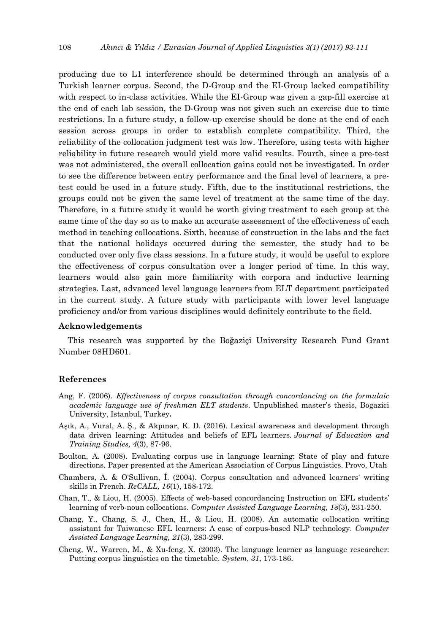producing due to L1 interference should be determined through an analysis of a Turkish learner corpus. Second, the D-Group and the EI-Group lacked compatibility with respect to in-class activities. While the EI-Group was given a gap-fill exercise at the end of each lab session, the D-Group was not given such an exercise due to time restrictions. In a future study, a follow-up exercise should be done at the end of each session across groups in order to establish complete compatibility. Third, the reliability of the collocation judgment test was low. Therefore, using tests with higher reliability in future research would yield more valid results. Fourth, since a pre-test was not administered, the overall collocation gains could not be investigated. In order to see the difference between entry performance and the final level of learners, a pretest could be used in a future study. Fifth, due to the institutional restrictions, the groups could not be given the same level of treatment at the same time of the day. Therefore, in a future study it would be worth giving treatment to each group at the same time of the day so as to make an accurate assessment of the effectiveness of each method in teaching collocations. Sixth, because of construction in the labs and the fact that the national holidays occurred during the semester, the study had to be conducted over only five class sessions. In a future study, it would be useful to explore the effectiveness of corpus consultation over a longer period of time. In this way, learners would also gain more familiarity with corpora and inductive learning strategies. Last, advanced level language learners from ELT department participated in the current study. A future study with participants with lower level language proficiency and/or from various disciplines would definitely contribute to the field.

#### **Acknowledgements**

This research was supported by the Boğaziçi University Research Fund Grant Number 08HD601.

#### **References**

- Ang, F. (2006). *Effectiveness of corpus consultation through concordancing on the formulaic academic language use of freshman ELT students*. Unpublished master's thesis, Bogazici University, Istanbul, Turkey**.**
- Aşık, A., Vural, A. Ş., & Akpınar, K. D. (2016). Lexical awareness and development through data driven learning: Attitudes and beliefs of EFL learners*. Journal of Education and Training Studies, 4*(3), 87-96.
- Boulton, A. (2008). Evaluating corpus use in language learning: State of play and future directions. Paper presented at the American Association of Corpus Linguistics. Provo, Utah
- Chambers, A. & O'Sullivan, Í. (2004). Corpus consultation and advanced learners' writing skills in French. *ReCALL, 16*(1), 158-172.
- Chan, T., & Liou, H. (2005). Effects of web-based concordancing Instruction on EFL students' learning of verb-noun collocations. *Computer Assisted Language Learning, 18*(3), 231-250.
- Chang, Y., Chang, S. J., Chen, H., & Liou, H. (2008). An automatic collocation writing assistant for Taiwanese EFL learners: A case of corpus-based NLP technology. *Computer Assisted Language Learning, 21*(3), 283-299.
- Cheng, W., Warren, M., & Xu-feng, X. (2003). The language learner as language researcher: Putting corpus linguistics on the timetable. *System*, *31*, 173-186.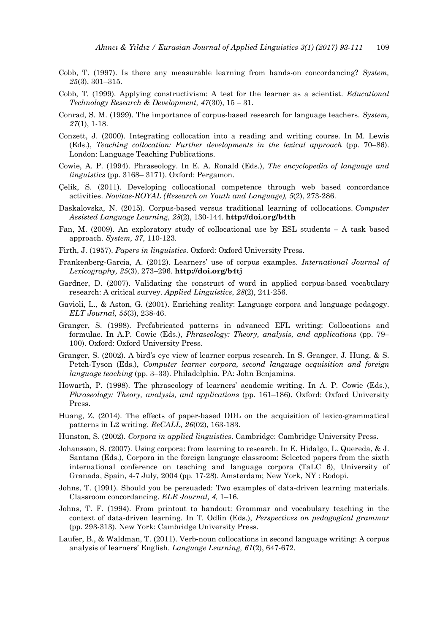- Cobb, T. (1997). Is there any measurable learning from hands-on concordancing? *System, 25*(3), 301–315.
- Cobb, T. (1999). Applying constructivism: A test for the learner as a scientist. *Educational Technology Research & Development, 47*(30), 15 – 31.
- Conrad, S. M. (1999). The importance of corpus-based research for language teachers. *System, 27*(1), 1-18.
- Conzett, J. (2000). Integrating collocation into a reading and writing course. In M. Lewis (Eds.), *Teaching collocation: Further developments in the lexical approach* (pp. 70–86). London: Language Teaching Publications.
- Cowie, A. P. (1994). Phraseology. In E. A. Ronald (Eds.), *The encyclopedia of language and linguistics* (pp. 3168– 3171). Oxford: Pergamon.
- Çelik, S. (2011). Developing collocational competence through web based concordance activities. *Novitas-ROYAL (Research on Youth and Language), 5*(2), 273-286.
- Daskalovska, N. (2015). Corpus-based versus traditional learning of collocations. *Computer Assisted Language Learning, 28*(2), 130-144. **http://doi.org/b4th**
- Fan, M. (2009). An exploratory study of collocational use by ESL students A task based approach. *System, 37*, 110-123.
- Firth, J. (1957). *Papers in linguistics*. Oxford: Oxford University Press.
- Frankenberg-Garcia, A. (2012). Learners' use of corpus examples. *International Journal of Lexicography, 25*(3), 273–296. **http://doi.org/b4tj**
- Gardner, D. (2007). Validating the construct of word in applied corpus-based vocabulary research: A critical survey. *Applied Linguistics*, *28*(2), 241-256.
- Gavioli, L., & Aston, G. (2001). Enriching reality: Language corpora and language pedagogy. *ELT Journal, 55*(3), 238-46.
- Granger, S. (1998). Prefabricated patterns in advanced EFL writing: Collocations and formulae. In A.P. Cowie (Eds.), *Phraseology: Theory, analysis, and applications* (pp. 79– 100). Oxford: Oxford University Press.
- Granger, S. (2002). A bird's eye view of learner corpus research. In S. Granger, J. Hung, & S. Petch-Tyson (Eds.), *Computer learner corpora, second language acquisition and foreign language teaching* (pp. 3–33). Philadelphia, PA: John Benjamins.
- Howarth, P. (1998). The phraseology of learners' academic writing. In A. P. Cowie (Eds.), *Phraseology: Theory, analysis, and applications* (pp. 161–186). Oxford: Oxford University Press.
- Huang, Z. (2014). The effects of paper-based DDL on the acquisition of lexico-grammatical patterns in L2 writing. *ReCALL, 26*(02), 163-183.
- Hunston, S. (2002). *Corpora in applied linguistics*. Cambridge: Cambridge University Press.
- Johansson, S. (2007). Using corpora: from learning to research. In E. Hidalgo, L. Quereda, & J. Santana (Eds.), Corpora in the foreign language classroom: Selected papers from the sixth international conference on teaching and language corpora (TaLC 6), University of Granada, Spain, 4-7 July, 2004 (pp. 17-28). Amsterdam; New York, NY : Rodopi.
- Johns, T. (1991). Should you be persuaded: Two examples of data-driven learning materials. Classroom concordancing. *ELR Journal, 4,* 1–16.
- Johns, T. F. (1994). From printout to handout: Grammar and vocabulary teaching in the context of data-driven learning. In T. Odlin (Eds.), *Perspectives on pedagogical grammar*  (pp. 293-313). New York: Cambridge University Press.
- Laufer, B., & Waldman, T. (2011). Verb-noun collocations in second language writing: A corpus analysis of learners' English. *Language Learning, 61*(2), 647-672.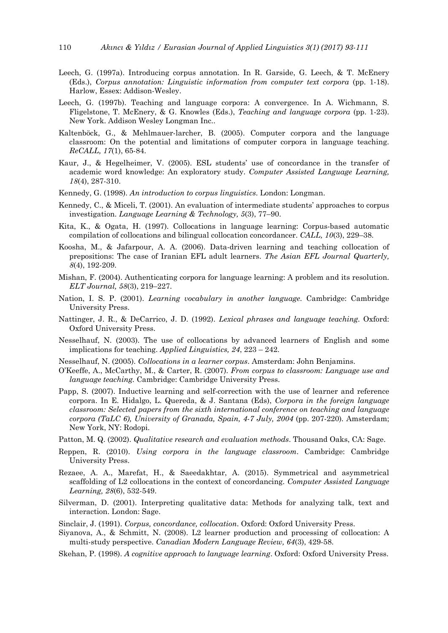- Leech, G. (1997a). Introducing corpus annotation. In R. Garside, G. Leech, & T. McEnery (Eds.), *Corpus annotation: Linguistic information from computer text corpora* (pp. 1-18). Harlow, Essex: Addison-Wesley.
- Leech, G. (1997b). Teaching and language corpora: A convergence. In A. Wichmann, S. Fligelstone, T. McEnery, & G. Knowles (Eds.), *Teaching and language corpora* (pp. 1-23). New York. Addison Wesley Longman Inc..
- Kaltenböck, G., & Mehlmauer-larcher, B. (2005). Computer corpora and the language classroom: On the potential and limitations of computer corpora in language teaching. *ReCALL, 17*(1), 65-84.
- Kaur, J., & Hegelheimer, V. (2005). ESL students' use of concordance in the transfer of academic word knowledge: An exploratory study. *Computer Assisted Language Learning, 18*(4), 287-310.
- Kennedy, G. (1998). *An introduction to corpus linguistics*. London: Longman.
- Kennedy, C., & Miceli, T. (2001). An evaluation of intermediate students' approaches to corpus investigation. *Language Learning & Technology, 5*(3), 77–90.
- Kita, K., & Ogata, H. (1997). Collocations in language learning: Corpus-based automatic compilation of collocations and bilingual collocation concordancer. *CALL, 10*(3), 229–38.
- Koosha, M., & Jafarpour, A. A. (2006). Data-driven learning and teaching collocation of prepositions: The case of Iranian EFL adult learners. *The Asian EFL Journal Quarterly, 8*(4), 192-209.
- Mishan, F. (2004). Authenticating corpora for language learning: A problem and its resolution. *ELT Journal, 58*(3), 219–227.
- Nation, I. S. P. (2001). *Learning vocabulary in another language.* Cambridge: Cambridge University Press.
- Nattinger, J. R., & DeCarrico, J. D. (1992). *Lexical phrases and language teaching.* Oxford: Oxford University Press.
- Nesselhauf, N. (2003). The use of collocations by advanced learners of English and some implications for teaching. *Applied Linguistics, 24*, 223 – 242.
- Nesselhauf, N. (2005). *Collocations in a learner corpus*. Amsterdam: John Benjamins.
- O'Keeffe, A., McCarthy, M., & Carter, R. (2007). *From corpus to classroom: Language use and language teaching.* Cambridge: Cambridge University Press.
- Papp, S. (2007). Inductive learning and self-correction with the use of learner and reference corpora. In E. Hidalgo, L. Quereda, & J. Santana (Eds), *Corpora in the foreign language classroom: Selected papers from the sixth international conference on teaching and language corpora (TaLC 6), University of Granada, Spain, 4-7 July, 2004* (pp. 207-220)*.* Amsterdam; New York, NY: Rodopi.
- Patton, M. Q. (2002). *Qualitative research and evaluation methods*. Thousand Oaks, CA: Sage.
- Reppen, R. (2010). *Using corpora in the language classroom*. Cambridge: Cambridge University Press.
- Rezaee, A. A., Marefat, H., & Saeedakhtar, A. (2015). Symmetrical and asymmetrical scaffolding of L2 collocations in the context of concordancing. *Computer Assisted Language Learning, 28*(6), 532-549.
- Silverman, D. (2001). Interpreting qualitative data: Methods for analyzing talk, text and interaction. London: Sage.
- Sinclair, J. (1991). *Corpus, concordance, collocation*. Oxford: Oxford University Press.
- Siyanova, A., & Schmitt, N. (2008). L2 learner production and processing of collocation: A multi-study perspective. *Canadian Modern Language Review, 64*(3), 429-58.
- Skehan, P. (1998). *A cognitive approach to language learning*. Oxford: Oxford University Press.